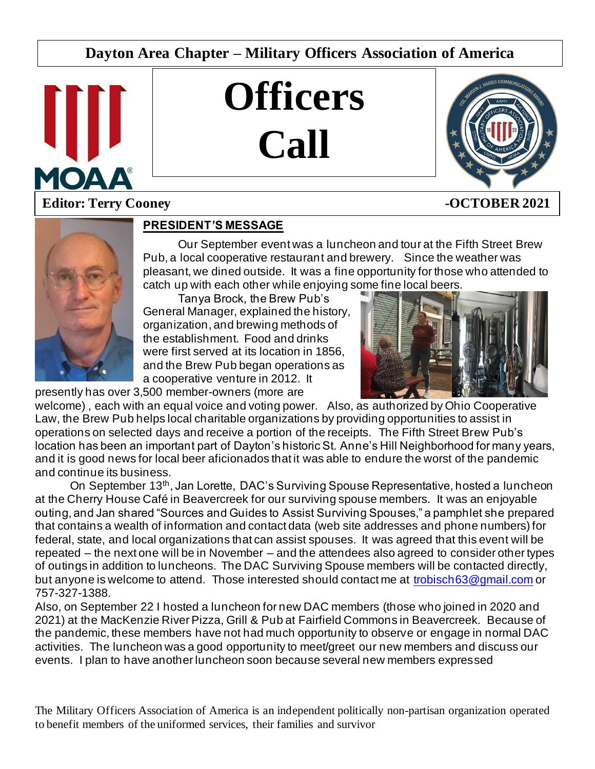# **Dayton Area Chapter – Military Officers Association of America**



# **Officers Call**



# **Editor: Terry Cooney 40 CTOBER 2021**



#### **PRESIDENT'S MESSAGE**

Our September event was a luncheon and tour at the Fifth Street Brew Pub, a local cooperative restaurant and brewery. Since the weather was pleasant, we dined outside. It was a fine opportunity for those who attended to catch up with each other while enjoying some fine local beers.

Tanya Brock, the Brew Pub's General Manager, explained the history, organization, and brewing methods of the establishment. Food and drinks were first served at its location in 1856, and the Brew Pub began operations as a cooperative venture in 2012. It presently has over 3,500 member-owners (more are



welcome) , each with an equal voice and voting power. Also, as authorized by Ohio Cooperative Law, the Brew Pub helps local charitable organizations by providing opportunities to assist in operations on selected days and receive a portion of the receipts. The Fifth Street Brew Pub's location has been an important part of Dayton's historic St. Anne's Hill Neighborhood for many years, and it is good news for local beer aficionados that it was able to endure the worst of the pandemic and continue its business.

On September 13<sup>th</sup>, Jan Lorette, DAC's Surviving Spouse Representative, hosted a luncheon at the Cherry House Café in Beavercreek for our surviving spouse members. It was an enjoyable outing, and Jan shared "Sources and Guides to Assist Surviving Spouses," a pamphlet she prepared that contains a wealth of information and contact data (web site addresses and phone numbers) for federal, state, and local organizations that can assist spouses. It was agreed that this event will be repeated – the next one will be in November – and the attendees also agreed to consider other types of outings in addition to luncheons. The DAC Surviving Spouse members will be contacted directly, but anyone is welcome to attend. Those interested should contact me at [trobisch63@gmail.com](mailto:trobisch63@gmail.com) or 757-327-1388.

Also, on September 22 I hosted a luncheon for new DAC members (those who joined in 2020 and 2021) at the MacKenzie River Pizza, Grill & Pub at Fairfield Commons in Beavercreek. Because of the pandemic, these members have not had much opportunity to observe or engage in normal DAC activities. The luncheon was a good opportunity to meet/greet our new members and discuss our events. I plan to have another luncheon soon because several new members expressed

The Military Officers Association of America is an independent politically non-partisan organization operated to benefit members of the uniformed services, their families and survivor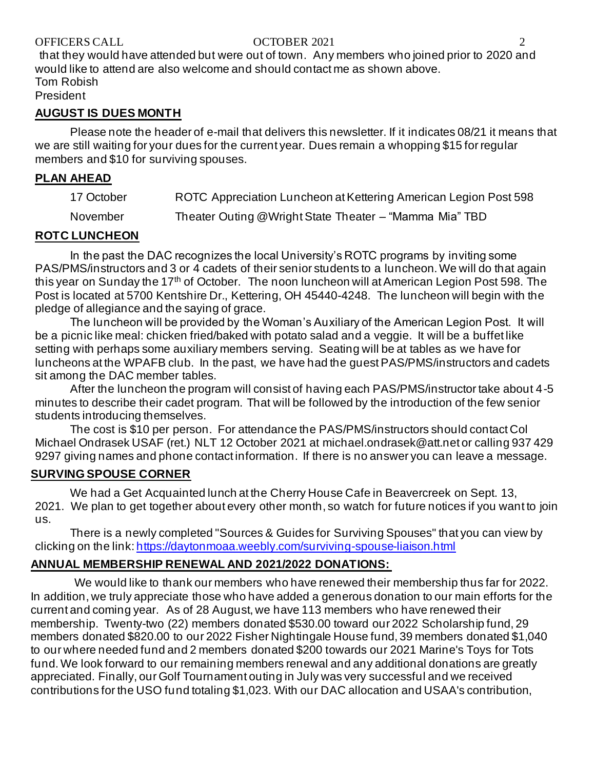#### OFFICERS CALL COCTOBER 2021 2

that they would have attended but were out of town. Any members who joined prior to 2020 and would like to attend are also welcome and should contact me as shown above. Tom Robish

President

#### **AUGUST IS DUES MONTH**

Please note the header of e-mail that delivers this newsletter. If it indicates 08/21 it means that we are still waiting for your dues for the current year. Dues remain a whopping \$15 for regular members and \$10 for surviving spouses.

#### **PLAN AHEAD**

| 17 October | ROTC Appreciation Luncheon at Kettering American Legion Post 598 |
|------------|------------------------------------------------------------------|
| November   | Theater Outing @Wright State Theater - "Mamma Mia" TBD           |

## **ROTC LUNCHEON**

In the past the DAC recognizes the local University's ROTC programs by inviting some PAS/PMS/instructors and 3 or 4 cadets of their senior students to a luncheon. We will do that again this year on Sunday the 17<sup>th</sup> of October. The noon luncheon will at American Legion Post 598. The Post is located at 5700 Kentshire Dr., Kettering, OH 45440-4248. The luncheon will begin with the pledge of allegiance and the saying of grace.

The luncheon will be provided by the Woman's Auxiliary of the American Legion Post. It will be a picnic like meal: chicken fried/baked with potato salad and a veggie. It will be a buffet like setting with perhaps some auxiliary members serving. Seating will be at tables as we have for luncheons at the WPAFB club. In the past, we have had the guest PAS/PMS/instructors and cadets sit among the DAC member tables.

After the luncheon the program will consist of having each PAS/PMS/instructor take about 4-5 minutes to describe their cadet program. That will be followed by the introduction of the few senior students introducing themselves.

The cost is \$10 per person. For attendance the PAS/PMS/instructors should contact Col Michael Ondrasek USAF (ret.) NLT 12 October 2021 at michael.ondrasek@att.net or calling 937 429 9297 giving names and phone contact information. If there is no answer you can leave a message.

# **SURVING SPOUSE CORNER**

We had a Get Acquainted lunch at the Cherry House Cafe in Beavercreek on Sept. 13, 2021. We plan to get together about every other month, so watch for future notices if you want to join us.

There is a newly completed "Sources & Guides for Surviving Spouses" that you can view by clicking on the link[: https://daytonmoaa.weebly.com/surviving-spouse-liaison.html](https://daytonmoaa.weebly.com/surviving-spouse-liaison.html)

# **ANNUAL MEMBERSHIP RENEWAL AND 2021/2022 DONATIONS:**

We would like to thank our members who have renewed their membership thus far for 2022. In addition, we truly appreciate those who have added a generous donation to our main efforts for the current and coming year. As of 28 August, we have 113 members who have renewed their membership. Twenty-two (22) members donated \$530.00 toward our 2022 Scholarship fund, 29 members donated \$820.00 to our 2022 Fisher Nightingale House fund, 39 members donated \$1,040 to our where needed fund and 2 members donated \$200 towards our 2021 Marine's Toys for Tots fund. We look forward to our remaining members renewal and any additional donations are greatly appreciated. Finally, our Golf Tournament outing in July was very successful and we received contributions for the USO fund totaling \$1,023. With our DAC allocation and USAA's contribution,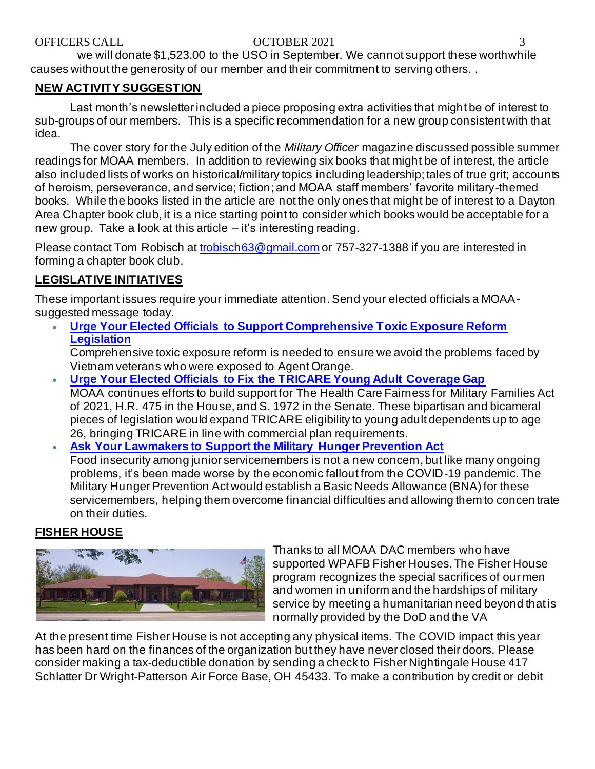we will donate \$1,523.00 to the USO in September. We cannot support these worthwhile causes without the generosity of our member and their commitment to serving others. .

# **NEW ACTIVITY SUGGESTION**

Last month's newsletter included a piece proposing extra activities that might be of interest to sub-groups of our members. This is a specific recommendation for a new group consistent with that idea.

The cover story for the July edition of the *Military Officer* magazine discussed possible summer readings for MOAA members. In addition to reviewing six books that might be of interest, the article also included lists of works on historical/military topics including leadership; tales of true grit; accounts of heroism, perseverance, and service; fiction; and MOAA staff members' favorite military-themed books. While the books listed in the article are not the only ones that might be of interest to a Dayton Area Chapter book club, it is a nice starting point to consider which books would be acceptable for a new group. Take a look at this article – it's interesting reading.

Please contact Tom Robisch at [trobisch63@gmail.com](mailto:trobisch63@gmail.com) or 757-327-1388 if you are interested in forming a chapter book club.

# **LEGISLATIVE INITIATIVES**

These important issues require your immediate attention. Send your elected officials a MOAAsuggested message today.

• **[Urge Your Elected Officials to Support Comprehensive Toxic Exposure Reform](https://takeaction.moaa.org/moaa/app/take-action?engagementId=511223)  [Legislation](https://takeaction.moaa.org/moaa/app/take-action?engagementId=511223)**

Comprehensive toxic exposure reform is needed to ensure we avoid the problems faced by Vietnam veterans who were exposed to Agent Orange.

- **[Urge Your Elected Officials to Fix the TRICARE Young Adult Coverage Gap](https://takeaction.moaa.org/moaa/app/take-action?engagementId=511394)** MOAA continues efforts to build support for The Health Care Fairness for Military Families Act of 2021, H.R. 475 in the House, and S. 1972 in the Senate. These bipartisan and bicameral pieces of legislation would expand TRICARE eligibility to young adult dependents up to age 26, bringing TRICARE in line with commercial plan requirements.
- **[Ask Your Lawmakers to Support the Military Hunger Prevention Act](https://takeaction.moaa.org/moaa/app/take-action?engagementId=511409)** Food insecurity among junior servicemembers is not a new concern, but like many ongoing problems, it's been made worse by the economic fallout from the COVID-19 pandemic. The Military Hunger Prevention Act would establish a Basic Needs Allowance (BNA) for these servicemembers, helping them overcome financial difficulties and allowing them to concen trate on their duties.

# **FISHER HOUSE**



Thanks to all MOAA DAC members who have supported WPAFB Fisher Houses. The Fisher House program recognizes the special sacrifices of our men and women in uniform and the hardships of military service by meeting a humanitarian need beyond that is normally provided by the DoD and the VA

At the present time Fisher House is not accepting any physical items. The COVID impact this year has been hard on the finances of the organization but they have never closed their doors. Please consider making a tax-deductible donation by sending a check to Fisher Nightingale House 417 Schlatter Dr Wright-Patterson Air Force Base, OH 45433. To make a contribution by credit or debit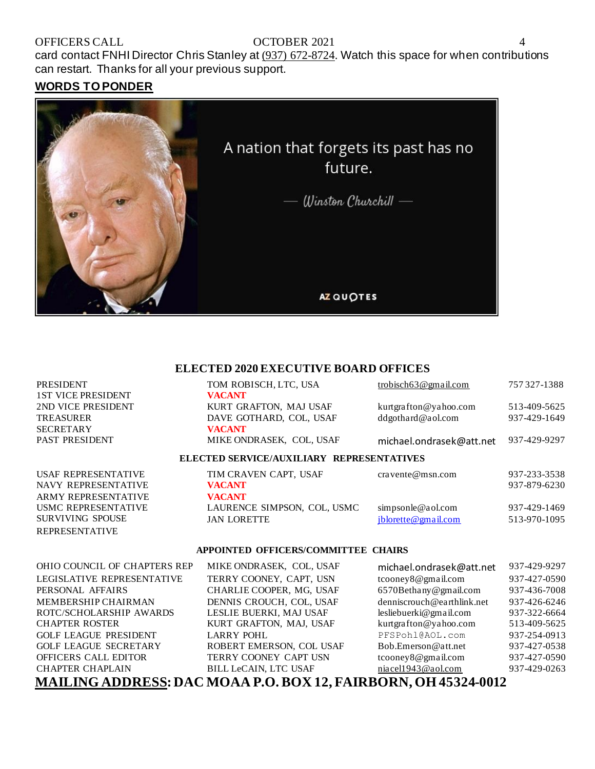# OFFICERS CALL OCTOBER 2021

card contact FNHI Director Chris Stanley at [\(937\) 672-8724.](tel:(937)672-8724) Watch this space for when contributions can restart. Thanks for all your previous support.

#### **WORDS TO PONDER**

**ARMY REPRESENTATIVE** USMC REPRESENTATIVE SURVIVING SPOUSE REPRESENTATIVE



#### **ELECTED 2020 EXECUTIVE BOARD OFFICES**

| <b>PRESIDENT</b><br><b>1ST VICE PRESIDENT</b> | TOM ROBISCH, LTC, USA<br><b>VACANT</b>    | trobisch $63@$ gmail.com | 757327-1388  |
|-----------------------------------------------|-------------------------------------------|--------------------------|--------------|
| 2ND VICE PRESIDENT                            | KURT GRAFTON, MAJ USAF                    | kurtgrafton@yahoo.com    | 513-409-5625 |
| <b>TREASURER</b>                              | DAVE GOTHARD, COL, USAF                   | ddgothard@aol.com        | 937-429-1649 |
| <b>SECRETARY</b><br>PAST PRESIDENT            | <b>VACANT</b><br>MIKE ONDRASEK, COL, USAF | michael.ondrasek@att.net | 937-429-9297 |
|                                               | ELECTED SERVICE/AUXILIARY REPRESENTATIVES |                          |              |
| USAF REPRESENTATIVE                           | TIM CRAVEN CAPT, USAF                     | cravente@msn.com         | 937-233-3538 |

| TIM CRAVEN CAPT. USAF       |
|-----------------------------|
| <b>VACANT</b>               |
| <b>VACANT</b>               |
| LAURENCE SIMPSON, COL, USMC |
| <b>JAN LORETTE</b>          |
|                             |

| USAF REPRESENTATIVE | TIM CRAVEN CAPT, USAF       | $cra$ vente $@$ m sn.com | 937-233-3538 |
|---------------------|-----------------------------|--------------------------|--------------|
| NAVY REPRESENTATIVE | <b>VACANT</b>               |                          | 937-879-6230 |
| ARMY REPRESENTATIVE | <b>VACANT</b>               |                          |              |
| USMC REPRESENTATIVE | LAURENCE SIMPSON, COL. USMC | simpsonle@aol.com        | 937-429-1469 |
| SURVIVING SPOUSE    | JAN LORETTE                 | iblorette@gmail.com      | 513-970-1095 |

#### **APPOINTED OFFICERS/COMMITTEE CHAIRS**

| OHIO COUNCIL OF CHAPTERS REP | MIKE ONDRASEK, COL, USAF     | michael.ondrasek@att.net   | 937-429-9297 |
|------------------------------|------------------------------|----------------------------|--------------|
| LEGISLATIVE REPRESENTATIVE   | TERRY COONEY, CAPT, USN      | tcooney8@gmail.com         | 937-427-0590 |
| PERSONAL AFFAIRS             | CHARLIE COOPER, MG, USAF     | 6570Bethany@gmail.com      | 937-436-7008 |
| MEMBERSHIP CHAIRMAN          | DENNIS CROUCH, COL, USAF     | denniscrouch@earthlink.net | 937-426-6246 |
| ROTC/SCHOLARSHIP AWARDS      | LESLIE BUERKI, MAJ USAF      | lesliebuerki@gmail.com     | 937-322-6664 |
| <b>CHAPTER ROSTER</b>        | KURT GRAFTON, MAJ, USAF      | kurtgrafton@yahoo.com      | 513-409-5625 |
| <b>GOLF LEAGUE PRESIDENT</b> | <b>LARRY POHL</b>            | PFSPohl@AOL.com            | 937-254-0913 |
| <b>GOLF LEAGUE SECRETARY</b> | ROBERT EMERSON, COL USAF     | Bob.Emerson@att.net        | 937-427-0538 |
| OFFICERS CALL EDITOR         | TERRY COONEY CAPT USN        | tcooney8@gmail.com         | 937-427-0590 |
| <b>CHAPTER CHAPLAIN</b>      | <b>BILL LeCAIN, LTC USAF</b> | niacel1943@aol.com         | 937-429-0263 |
|                              |                              |                            |              |

**MAILING ADDRESS: DAC MOAA P.O. BOX 12, FAIRBORN, OH 45324-0012**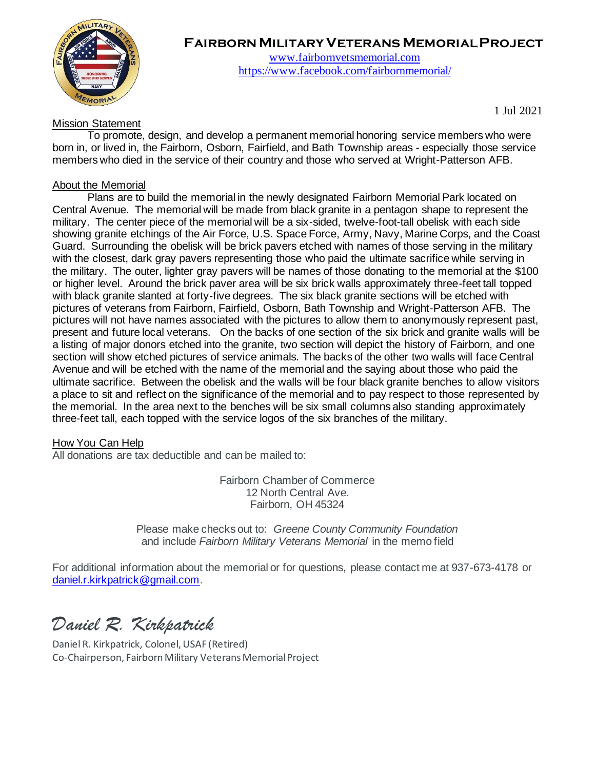

# **Fairborn Military Veterans Memorial Project**

[www.fairbornvetsmemorial.com](http://www.fairbornvetsmemorial.com/) <https://www.facebook.com/fairbornmemorial/>

Mission Statement

1 Jul 2021

To promote, design, and develop a permanent memorial honoring service members who were born in, or lived in, the Fairborn, Osborn, Fairfield, and Bath Township areas - especially those service members who died in the service of their country and those who served at Wright-Patterson AFB.

#### About the Memorial

Plans are to build the memorial in the newly designated Fairborn Memorial Park located on Central Avenue. The memorial will be made from black granite in a pentagon shape to represent the military. The center piece of the memorial will be a six-sided, twelve-foot-tall obelisk with each side showing granite etchings of the Air Force, U.S. Space Force, Army, Navy, Marine Corps, and the Coast Guard. Surrounding the obelisk will be brick pavers etched with names of those serving in the military with the closest, dark gray pavers representing those who paid the ultimate sacrifice while serving in the military. The outer, lighter gray pavers will be names of those donating to the memorial at the \$100 or higher level. Around the brick paver area will be six brick walls approximately three-feet tall topped with black granite slanted at forty-five degrees. The six black granite sections will be etched with pictures of veterans from Fairborn, Fairfield, Osborn, Bath Township and Wright-Patterson AFB. The pictures will not have names associated with the pictures to allow them to anonymously represent past, present and future local veterans. On the backs of one section of the six brick and granite walls will be a listing of major donors etched into the granite, two section will depict the history of Fairborn, and one section will show etched pictures of service animals. The backs of the other two walls will face Central Avenue and will be etched with the name of the memorial and the saying about those who paid the ultimate sacrifice. Between the obelisk and the walls will be four black granite benches to allow visitors a place to sit and reflect on the significance of the memorial and to pay respect to those represented by the memorial. In the area next to the benches will be six small columns also standing approximately three-feet tall, each topped with the service logos of the six branches of the military.

#### How You Can Help

All donations are tax deductible and can be mailed to:

Fairborn Chamber of Commerce 12 North Central Ave. Fairborn, OH 45324

Please make checks out to: *Greene County Community Foundation*  and include *Fairborn Military Veterans Memorial* in the memo field

For additional information about the memorial or for questions, please contact me at 937-673-4178 or [daniel.r.kirkpatrick@gmail.com.](mailto:daniel.r.kirkpatrick@gmail.com)

*Daniel R. Kirkpatrick*

Daniel R. Kirkpatrick, Colonel, USAF (Retired) Co-Chairperson, Fairborn Military Veterans Memorial Project